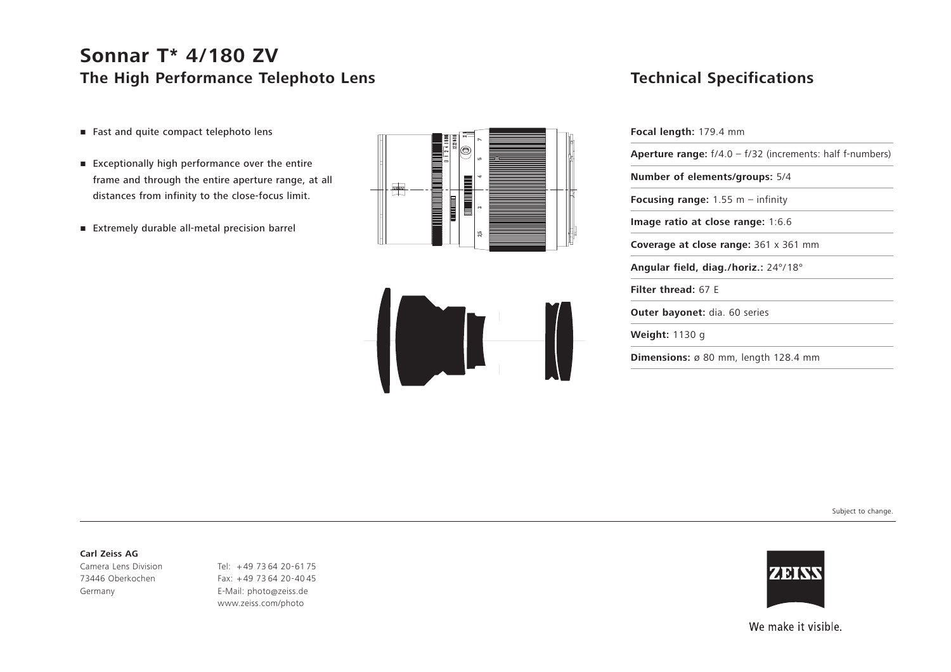## **Sonnar T\* 4/180 ZV The High Performance Telephoto Lens**

- Fast and quite compact telephoto lens
- Exceptionally high performance over the entire frame and through the entire aperture range, at all distances from infinity to the close-focus limit.
- Extremely durable all-metal precision barrel





### **Technical Specifications**

| <b>Focal length:</b> 179.4 mm                                      |  |
|--------------------------------------------------------------------|--|
| <b>Aperture range:</b> $f/4.0 - f/32$ (increments: half f-numbers) |  |
| Number of elements/groups: 5/4                                     |  |
| <b>Focusing range:</b> 1.55 m – infinity                           |  |
| Image ratio at close range: 1:6.6                                  |  |
| <b>Coverage at close range:</b> 361 x 361 mm                       |  |
| Angular field, diag./horiz.: 24°/18°                               |  |
| <b>Filter thread: 67 F</b>                                         |  |
| <b>Outer bayonet:</b> dia. 60 series                               |  |
| <b>Weight:</b> 1130 g                                              |  |
| <b>Dimensions:</b> $\varnothing$ 80 mm, length 128.4 mm            |  |

Subject to change.

#### **Carl Zeiss AG**

Camera Lens Division 73446 Oberkochen Germany

Tel: <sup>+</sup> 49 73 64 20-61 75 Fax: + 49 73 64 20-40 45 E-Mail: photo@zeiss.de www.zeiss.com/photo



We make it visible.